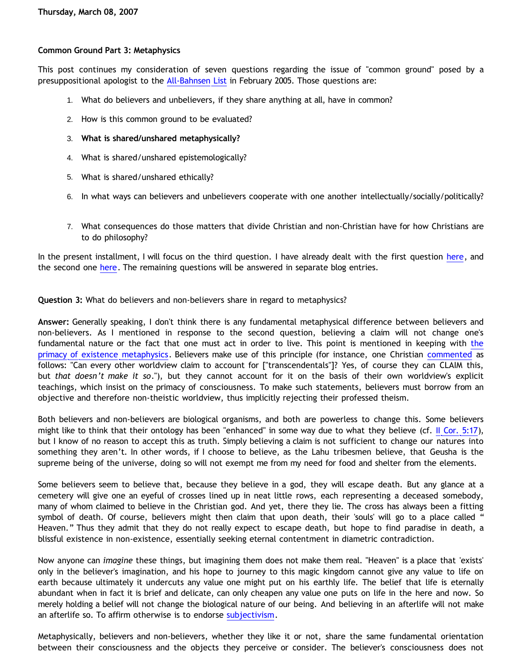## **Common Ground Part 3: Metaphysics**

This post continues my consideration of seven questions regarding the issue of "common ground" posed by a presuppositional apologist to the [All-Bahnsen List](http://groups.yahoo.com/group/all-bahnsen/) in February 2005. Those questions are:

- 1. What do believers and unbelievers, if they share anything at all, have in common?
- 2. How is this common ground to be evaluated?
- 3. **What is shared/unshared metaphysically?**
- 4. What is shared/unshared epistemologically?
- 5. What is shared/unshared ethically?
- 6. In what ways can believers and unbelievers cooperate with one another intellectually/socially/politically?
- 7. What consequences do those matters that divide Christian and non-Christian have for how Christians are to do philosophy?

In the present installment, I will focus on the third question. I have already dealt with the first question [here,](http://bahnsenburner.blogspot.com/2007/01/common-ground.html) and the second one [here](http://bahnsenburner.blogspot.com/2007/03/common-ground-part-2-standard-of.html). The remaining questions will be answered in separate blog entries.

**Question 3:** What do believers and non-believers share in regard to metaphysics?

**Answer:** Generally speaking, I don't think there is any fundamental metaphysical difference between believers and non-believers. As I mentioned in response to the second question, believing a claim will not change one's fundamental nature or the fact that one must act in order to live. This point is mentioned in keeping with [the](http://bahnsenburner.blogspot.com/2006/12/axioms-and-primacy-of-existence.html) [primacy of existence metaphysics.](http://bahnsenburner.blogspot.com/2006/12/axioms-and-primacy-of-existence.html) Believers make use of this principle (for instance, one Christian [commented](http://butler-harris.org/archives/158) as follows: "Can every other worldview claim to account for ["transcendentals"]? Yes, of course they can CLAIM this, but *that doesn't make it so*."), but they cannot account for it on the basis of their own worldview's explicit teachings, which insist on the primacy of consciousness. To make such statements, believers must borrow from an objective and therefore non-theistic worldview, thus implicitly rejecting their professed theism.

Both believers and non-believers are biological organisms, and both are powerless to change this. Some believers might like to think that their ontology has been "enhanced" in some way due to what they believe (cf. [II Cor. 5:17](http://www.biblegateway.com/passage/?book_id=54&chapter=5&verse=17&version=9&context=verse)), but I know of no reason to accept this as truth. Simply believing a claim is not sufficient to change our natures into something they aren't. In other words, if I choose to believe, as the Lahu tribesmen believe, that Geusha is the supreme being of the universe, doing so will not exempt me from my need for food and shelter from the elements.

Some believers seem to believe that, because they believe in a god, they will escape death. But any glance at a cemetery will give one an eyeful of crosses lined up in neat little rows, each representing a deceased somebody, many of whom claimed to believe in the Christian god. And yet, there they lie. The cross has always been a fitting symbol of death. Of course, believers might then claim that upon death, their 'souls' will go to a place called " Heaven." Thus they admit that they do not really expect to escape death, but hope to find paradise in death, a blissful existence in non-existence, essentially seeking eternal contentment in diametric contradiction.

Now anyone can *imagine* these things, but imagining them does not make them real. "Heaven" is a place that 'exists' only in the believer's imagination, and his hope to journey to this magic kingdom cannot give any value to life on earth because ultimately it undercuts any value one might put on his earthly life. The belief that life is eternally abundant when in fact it is brief and delicate, can only cheapen any value one puts on life in the here and now. So merely holding a belief will not change the biological nature of our being. And believing in an afterlife will not make an afterlife so. To affirm otherwise is to endorse [subjectivism](http://bahnsenburner.blogspot.com/2006/12/theism-and-subjective-metaphysics.html).

Metaphysically, believers and non-believers, whether they like it or not, share the same fundamental orientation between their consciousness and the objects they perceive or consider. The believer's consciousness does not